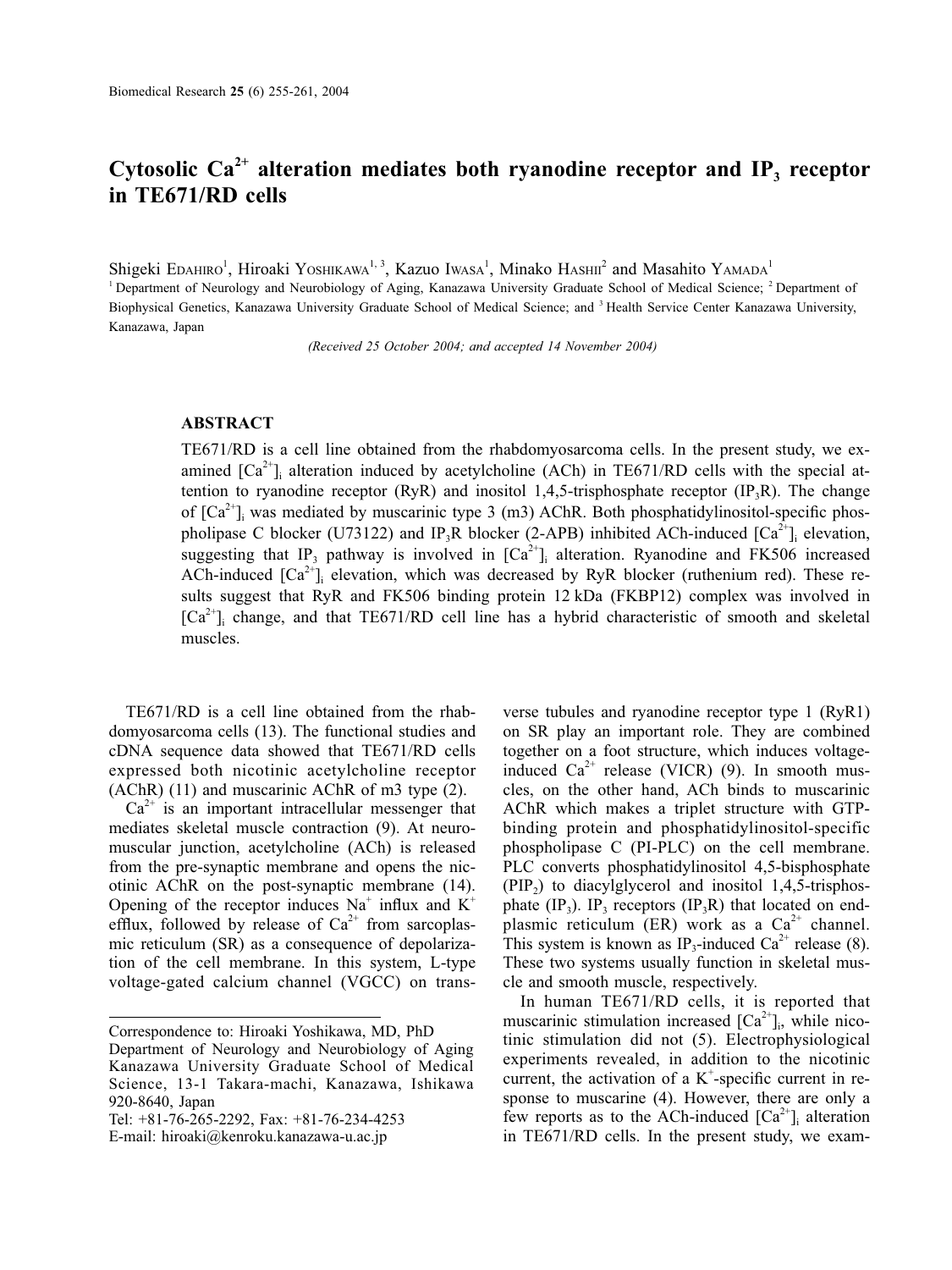# Cytosolic  $Ca^{2+}$  alteration mediates both ryanodine receptor and IP<sub>3</sub> receptor **in TE671/RD cells**

Shigeki Edahiro<sup>1</sup>, Hiroaki Yoshikawa<sup>1, 3</sup>, Kazuo Iwasa<sup>1</sup>, Minako Hashii<sup>2</sup> and Masahito Yamada<sup>1</sup> <sup>1</sup> Department of Neurology and Neurobiology of Aging, Kanazawa University Graduate School of Medical Science; <sup>2</sup> Department of Biophysical Genetics, Kanazawa University Graduate School of Medical Science; and <sup>3</sup> Health Service Center Kanazawa University, Kanazawa, Japan

*(Received 25 October 2004; and accepted 14 November 2004)*

### **ABSTRACT**

TE671/RD is a cell line obtained from the rhabdomyosarcoma cells. In the present study, we examined  $[Ca^{2+}]$  alteration induced by acetylcholine (ACh) in TE671/RD cells with the special attention to ryanodine receptor  $(RyR)$  and inositol 1,4,5-trisphosphate receptor  $(IP_3R)$ . The change of  $[Ca^{2+}$ ]<sub>i</sub> was mediated by muscarinic type 3 (m3) AChR. Both phosphatidylinositol-specific phospholipase C blocker (U73122) and IP<sub>3</sub>R blocker (2-APB) inhibited ACh-induced  $[Ca^{2+}]_i$  elevation, suggesting that IP<sub>3</sub> pathway is involved in  $[Ca^{2+}]_i$  alteration. Ryanodine and FK506 increased ACh-induced  $[Ca^{2+}]\rightarrow$  elevation, which was decreased by RyR blocker (ruthenium red). These results suggest that RyR and FK506 binding protein 12 kDa (FKBP12) complex was involved in  $[Ca<sup>2+</sup>]$  change, and that TE671/RD cell line has a hybrid characteristic of smooth and skeletal muscles.

TE671/RD is a cell line obtained from the rhabdomyosarcoma cells (13). The functional studies and cDNA sequence data showed that TE671/RD cells expressed both nicotinic acetylcholine receptor (AChR) (11) and muscarinic AChR of m3 type (2).

 $Ca<sup>2+</sup>$  is an important intracellular messenger that mediates skeletal muscle contraction (9). At neuromuscular junction, acetylcholine (ACh) is released from the pre-synaptic membrane and opens the nicotinic AChR on the post-synaptic membrane (14). Opening of the receptor induces  $Na^+$  influx and  $K^+$ efflux, followed by release of  $Ca^{2+}$  from sarcoplasmic reticulum (SR) as a consequence of depolarization of the cell membrane. In this system, L-type voltage-gated calcium channel (VGCC) on trans-

verse tubules and ryanodine receptor type 1 (RyR1) on SR play an important role. They are combined together on a foot structure, which induces voltageinduced  $Ca^{2+}$  release (VICR) (9). In smooth muscles, on the other hand, ACh binds to muscarinic AChR which makes a triplet structure with GTPbinding protein and phosphatidylinositol-specific phospholipase C (PI-PLC) on the cell membrane. PLC converts phosphatidylinositol 4,5-bisphosphate  $(PIP<sub>2</sub>)$  to diacylglycerol and inositol 1,4,5-trisphosphate  $(\text{IP}_3)$ . IP<sub>3</sub> receptors  $(\text{IP}_3R)$  that located on endplasmic reticulum (ER) work as a  $Ca<sup>2+</sup>$  channel. This system is known as IP<sub>3</sub>-induced Ca<sup>2+</sup> release (8). These two systems usually function in skeletal muscle and smooth muscle, respectively.

In human TE671/RD cells, it is reported that muscarinic stimulation increased  $[Ca^{2+}]$ <sub>i</sub>, while nicotinic stimulation did not (5). Electrophysiological experiments revealed, in addition to the nicotinic current, the activation of a  $K^+$ -specific current in response to muscarine (4). However, there are only a few reports as to the ACh-induced  $[Ca^{2+}]_i$  alteration in TE671/RD cells. In the present study, we exam-

Correspondence to: Hiroaki Yoshikawa, MD, PhD

Department of Neurology and Neurobiology of Aging Kanazawa University Graduate School of Medical Science, 13-1 Takara-machi, Kanazawa, Ishikawa 920-8640, Japan

Tel: +81-76-265-2292, Fax: +81-76-234-4253

E-mail: hiroaki@kenroku.kanazawa-u.ac.jp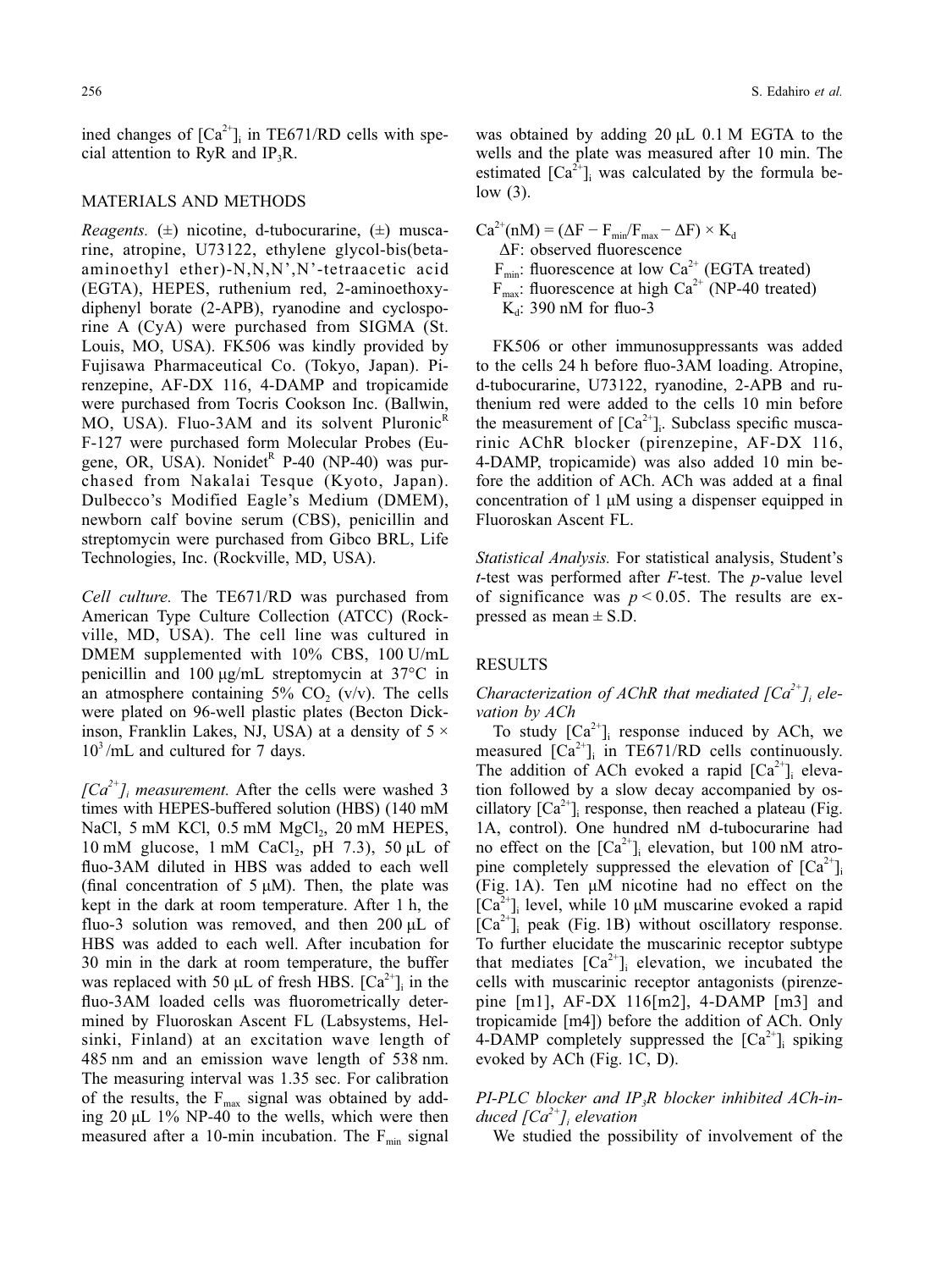256 S. Edahiro *et al.*

ined changes of  $[Ca^{2+}]$ <sub>i</sub> in TE671/RD cells with special attention to RyR and  $IP_3R$ .

### MATERIALS AND METHODS

*Reagents.*  $(\pm)$  nicotine, d-tubocurarine,  $(\pm)$  muscarine, atropine, U73122, ethylene glycol-bis(betaaminoethyl ether)-N,N,N',N'-tetraacetic acid (EGTA), HEPES, ruthenium red, 2-aminoethoxydiphenyl borate (2-APB), ryanodine and cyclosporine A (CyA) were purchased from SIGMA (St. Louis, MO, USA). FK506 was kindly provided by Fujisawa Pharmaceutical Co. (Tokyo, Japan). Pirenzepine, AF-DX 116, 4-DAMP and tropicamide were purchased from Tocris Cookson Inc. (Ballwin, MO, USA). Fluo-3AM and its solvent Pluronic<sup>R</sup> F-127 were purchased form Molecular Probes (Eugene, OR, USA). Nonidet<sup>R</sup> P-40 (NP-40) was purchased from Nakalai Tesque (Kyoto, Japan). Dulbecco's Modified Eagle's Medium (DMEM), newborn calf bovine serum (CBS), penicillin and streptomycin were purchased from Gibco BRL, Life Technologies, Inc. (Rockville, MD, USA).

*Cell culture.* The TE671/RD was purchased from American Type Culture Collection (ATCC) (Rockville, MD, USA). The cell line was cultured in DMEM supplemented with 10% CBS, 100 U/mL penicillin and 100 μg/mL streptomycin at 37°C in an atmosphere containing  $5\%$  CO<sub>2</sub> (v/v). The cells were plated on 96-well plastic plates (Becton Dickinson, Franklin Lakes, NJ, USA) at a density of  $5 \times$  $10<sup>3</sup>/mL$  and cultured for 7 days.

 $[Ca^{2+}$ ]<sub>i</sub> measurement. After the cells were washed 3 times with HEPES-buffered solution (HBS) (140 mM NaCl, 5 mM KCl,  $0.5$  mM MgCl<sub>2</sub>,  $20$  mM HEPES, 10 mM glucose, 1 mM CaCl<sub>2</sub>, pH 7.3), 50  $\mu$ L of fluo-3AM diluted in HBS was added to each well (final concentration of  $5 \mu M$ ). Then, the plate was kept in the dark at room temperature. After 1 h, the fluo-3 solution was removed, and then 200 μL of HBS was added to each well. After incubation for 30 min in the dark at room temperature, the buffer was replaced with 50  $\mu$ L of fresh HBS.  $[Ca^{2+}]_i$  in the fluo-3AM loaded cells was fluorometrically determined by Fluoroskan Ascent FL (Labsystems, Helsinki, Finland) at an excitation wave length of 485 nm and an emission wave length of 538 nm. The measuring interval was 1.35 sec. For calibration of the results, the  $F_{\text{max}}$  signal was obtained by adding  $20 \mu L$  1% NP-40 to the wells, which were then measured after a 10-min incubation. The  $F_{min}$  signal

was obtained by adding 20 μL 0.1 M EGTA to the wells and the plate was measured after 10 min. The estimated  $\left[\text{Ca}^{2+}\right]$  was calculated by the formula below (3).

 $Ca^{2+}(nM) = (\Delta F - F_{min}/F_{max} - \Delta F) \times K_d$ ΔF: observed fluorescence  $F_{min}$ : fluorescence at low Ca<sup>2+</sup> (EGTA treated)  $F_{\text{max}}$ : fluorescence at high Ca<sup>2+</sup> (NP-40 treated)  $K_d$ : 390 nM for fluo-3

FK506 or other immunosuppressants was added to the cells 24 h before fluo-3AM loading. Atropine, d-tubocurarine, U73122, ryanodine, 2-APB and ruthenium red were added to the cells 10 min before the measurement of  $[Ca^{2+}]_i$ . Subclass specific muscarinic AChR blocker (pirenzepine, AF-DX 116, 4-DAMP, tropicamide) was also added 10 min before the addition of ACh. ACh was added at a final concentration of 1 μM using a dispenser equipped in Fluoroskan Ascent FL.

*Statistical Analysis.* For statistical analysis, Student's *t*-test was performed after *F*-test. The *p*-value level of significance was  $p < 0.05$ . The results are expressed as mean  $\pm$  S.D.

#### RESULTS

*Characterization of AChR that mediated*  $[Ca^{2+}$ *]<sub>i</sub> elevation by ACh*

To study  $[Ca^{2+}]$  response induced by ACh, we measured  $[Ca^{2+}]\$  in TE671/RD cells continuously. The addition of ACh evoked a rapid  $[Ca^{2+}]\rightarrow$  elevation followed by a slow decay accompanied by oscillatory  $[Ca^{2+}]$ <sub>i</sub> response, then reached a plateau (Fig. 1A, control). One hundred nM d-tubocurarine had no effect on the  $[Ca^{2+}]_i$  elevation, but 100 nM atropine completely suppressed the elevation of  $[Ca^{2+}]$ . (Fig. 1A). Ten μM nicotine had no effect on the  $[Ca<sup>2+</sup>$ <sub>i</sub> level, while 10  $\mu$ M muscarine evoked a rapid  $[Ca^{2+}$ ]<sub>i</sub> peak (Fig. 1B) without oscillatory response. To further elucidate the muscarinic receptor subtype that mediates  $[Ca^{2+}]$  elevation, we incubated the cells with muscarinic receptor antagonists (pirenzepine [m1], AF-DX 116[m2], 4-DAMP [m3] and tropicamide [m4]) before the addition of ACh. Only 4-DAMP completely suppressed the  $[Ca^{2+}]_i$  spiking evoked by ACh (Fig. 1C, D).

## *PI-PLC blocker and IP3R blocker inhibited ACh-induced [Ca2+]i elevation*

We studied the possibility of involvement of the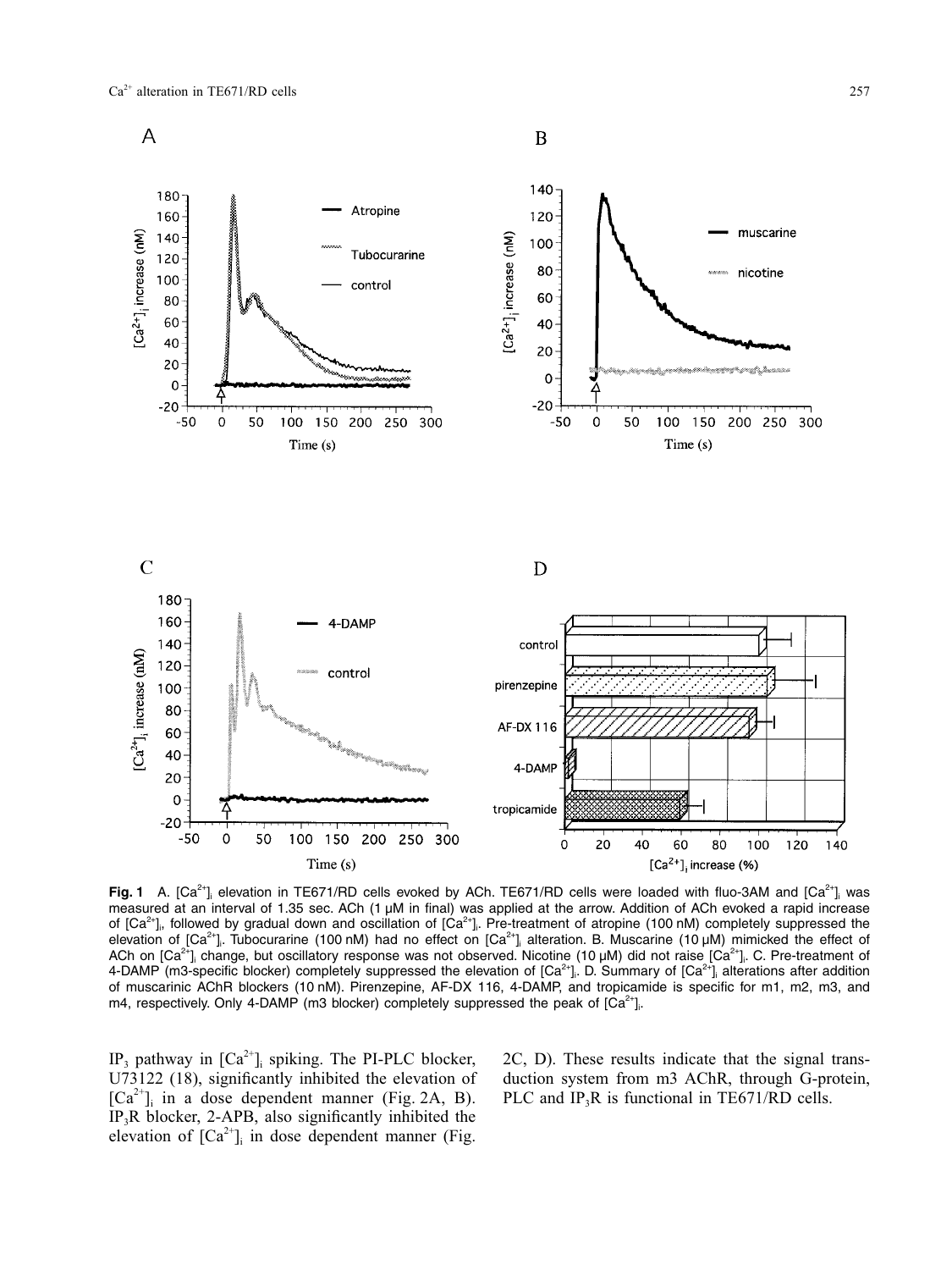

**Fig. 1** A.  $[Ca^{2+}]$  elevation in TE671/RD cells evoked by ACh. TE671/RD cells were loaded with fluo-3AM and  $[Ca^{2+}]$  was measured at an interval of 1.35 sec. ACh (1 µM in final) was applied at the arrow. Addition of ACh evoked a rapid increase of [Ca<sup>2+</sup>],, followed by gradual down and oscillation of [Ca<sup>2+</sup>]. Pre-treatment of atropine (100 nM) completely suppressed the elevation of [Ca<sup>2+</sup>], Tubocurarine (100 nM) had no effect on [Ca<sup>2+</sup>], alteration. B. Muscarine (10 µM) mimicked the effect of ACh on [Ca<sup>2+</sup>]<sub>i</sub> change, but oscillatory response was not observed. Nicotine (10 µM) did not raise [Ca<sup>2+</sup>]<sub>i</sub>. C. Pre-treatment of 4-DAMP (m3-specific blocker) completely suppressed the elevation of [Ca<sup>2+</sup>]. D. Summary of [Ca<sup>2+</sup>] alterations after addition of muscarinic AChR blockers (10 nM). Pirenzepine, AF-DX 116, 4-DAMP, and tropicamide is specific for m1, m2, m3, and m4, respectively. Only 4-DAMP (m3 blocker) completely suppressed the peak of  $[Ca^{2+}]\cdot$ .

IP<sub>3</sub> pathway in  $[Ca^{2+}$ ]<sub>i</sub> spiking. The PI-PLC blocker, U73122 (18), significantly inhibited the elevation of  $[Ca^{2+}$ ]<sub>i</sub> in a dose dependent manner (Fig. 2A, B). IP<sub>3</sub>R blocker, 2-APB, also significantly inhibited the elevation of  $[Ca^{2+}$ ]<sub>i</sub> in dose dependent manner (Fig.

2C, D). These results indicate that the signal transduction system from m3 AChR, through G-protein, PLC and  $IP_3R$  is functional in TE671/RD cells.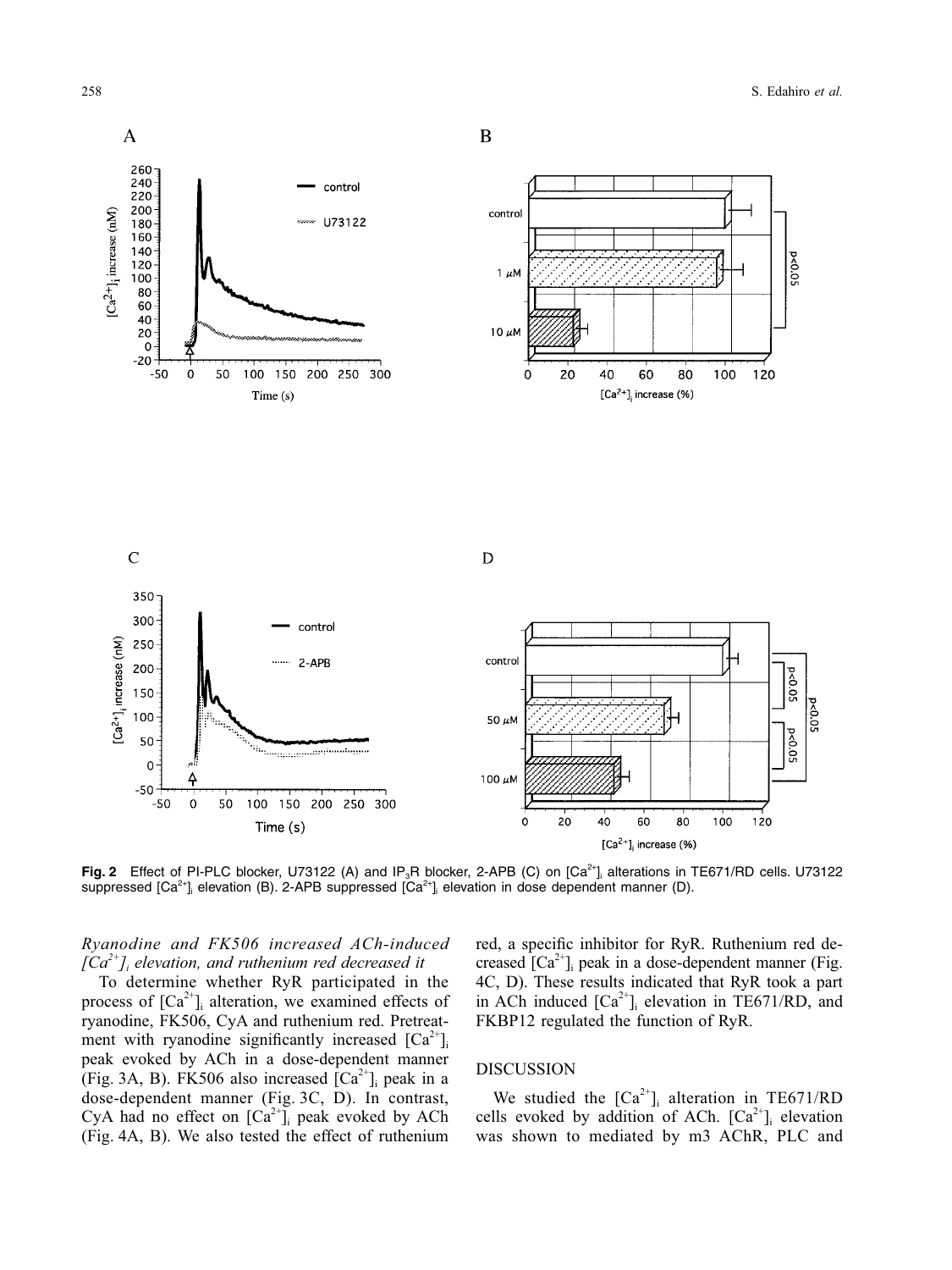

**Fig. 2** Effect of PI-PLC blocker, U73122 (A) and IP<sub>3</sub>R blocker, 2-APB (C) on [Ca<sup>2+</sup>]<sub>i</sub> alterations in TE671/RD cells. U73122 suppressed [Ca<sup>2+</sup>]<sub>i</sub> elevation (B). 2-APB suppressed [Ca<sup>2+</sup>]<sub>i</sub> elevation in dose dependent manner (D).

*Ryanodine and FK506 increased ACh-induced [Ca2+]i elevation, and ruthenium red decreased it*

To determine whether RyR participated in the process of  $[Ca^{2+}]\$ <sub>i</sub> alteration, we examined effects of ryanodine, FK506, CyA and ruthenium red. Pretreatment with ryanodine significantly increased  $[Ca^{2+}]$ peak evoked by ACh in a dose-dependent manner (Fig. 3A, B). FK506 also increased  $[Ca^{2+}]$ <sub>i</sub> peak in a dose-dependent manner (Fig. 3C, D). In contrast, CyA had no effect on  $[Ca^{2+}]$ <sub>i</sub> peak evoked by ACh (Fig. 4A, B). We also tested the effect of ruthenium

red, a specific inhibitor for RyR. Ruthenium red decreased  $[Ca^{2+}$ ]<sub>i</sub> peak in a dose-dependent manner (Fig. 4C, D). These results indicated that RyR took a part in ACh induced  $[Ca^{2+}]_i$  elevation in TE671/RD, and FKBP12 regulated the function of RyR.

### DISCUSSION

We studied the  $[Ca^{2+}]\$ <sub>i</sub> alteration in TE671/RD cells evoked by addition of ACh.  $[Ca^{2+}]_i$  elevation was shown to mediated by m3 AChR, PLC and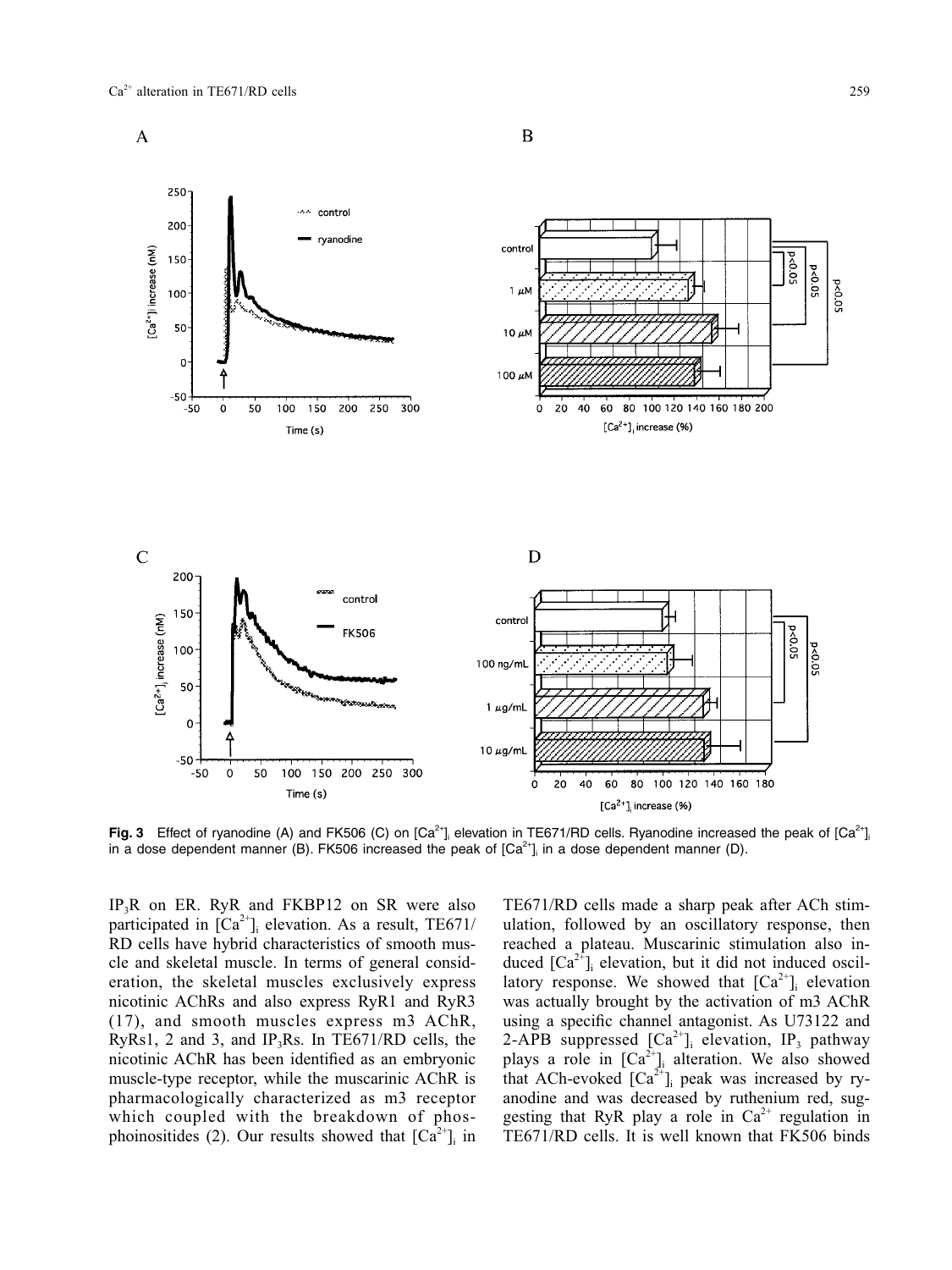

**Fig. 3** Effect of ryanodine (A) and FK506 (C) on  $[Ca^{2+}]_i$  elevation in TE671/RD cells. Ryanodine increased the peak of  $[Ca^{2+}]_i$ in a dose dependent manner (B). FK506 increased the peak of [Ca<sup>2+</sup>]<sub>i</sub> in a dose dependent manner (D).

 $IP_3R$  on ER. RyR and FKBP12 on SR were also participated in  $[Ca^{2+}]_i$  elevation. As a result, TE671/ RD cells have hybrid characteristics of smooth muscle and skeletal muscle. In terms of general consideration, the skeletal muscles exclusively express nicotinic AChRs and also express RyR1 and RyR3 (17), and smooth muscles express m3 AChR, RyRs1, 2 and 3, and IP<sub>3</sub>Rs. In TE671/RD cells, the nicotinic AChR has been identified as an embryonic muscle-type receptor, while the muscarinic AChR is pharmacologically characterized as m3 receptor which coupled with the breakdown of phosphoinositides (2). Our results showed that  $[Ca^{2+}]\$ i in TE671/RD cells made a sharp peak after ACh stimulation, followed by an oscillatory response, then reached a plateau. Muscarinic stimulation also induced  $[Ca^{2+}]_i$  elevation, but it did not induced oscillatory response. We showed that  $[Ca^{2+}]$ <sub>i</sub> elevation was actually brought by the activation of m3 AChR using a specific channel antagonist. As U73122 and 2-APB suppressed  $[Ca^{2+}]\$ <sub>i</sub> elevation, IP<sub>3</sub> pathway plays a role in  $[Ca^{2+}$ ] alteration. We also showed that ACh-evoked  $[Ca^{2+}]$ ; peak was increased by ryanodine and was decreased by ruthenium red, suggesting that RyR play a role in  $Ca^{2+}$  regulation in TE671/RD cells. It is well known that FK506 binds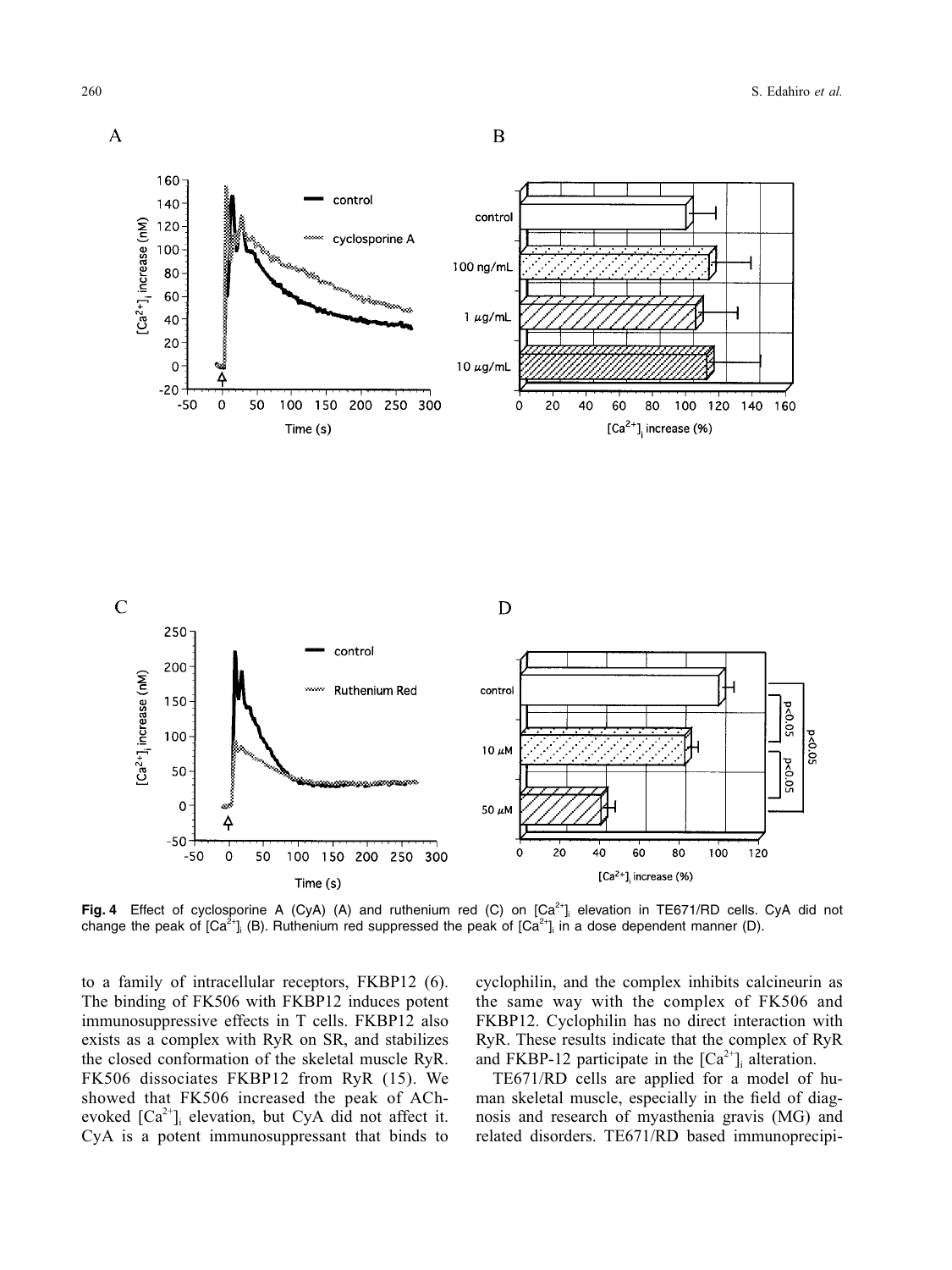

Fig. 4 Effect of cyclosporine A (CyA) (A) and ruthenium red (C) on [Ca<sup>2+</sup>]; elevation in TE671/RD cells. CyA did not change the peak of [Ca<sup>2+</sup>]<sub>i</sub> (B). Ruthenium red suppressed the peak of [Ca<sup>2+</sup>]<sub>i</sub> in a dose dependent manner (D).

to a family of intracellular receptors, FKBP12 (6). The binding of FK506 with FKBP12 induces potent immunosuppressive effects in T cells. FKBP12 also exists as a complex with RyR on SR, and stabilizes the closed conformation of the skeletal muscle RyR. FK506 dissociates FKBP12 from RyR (15). We showed that FK506 increased the peak of AChevoked  $[Ca^{2+}$ ]<sub>i</sub> elevation, but CyA did not affect it. CyA is a potent immunosuppressant that binds to

cyclophilin, and the complex inhibits calcineurin as the same way with the complex of FK506 and FKBP12. Cyclophilin has no direct interaction with RyR. These results indicate that the complex of RyR and FKBP-12 participate in the  $[Ca^{2+}]_i$  alteration.

TE671/RD cells are applied for a model of human skeletal muscle, especially in the field of diagnosis and research of myasthenia gravis (MG) and related disorders. TE671/RD based immunoprecipi